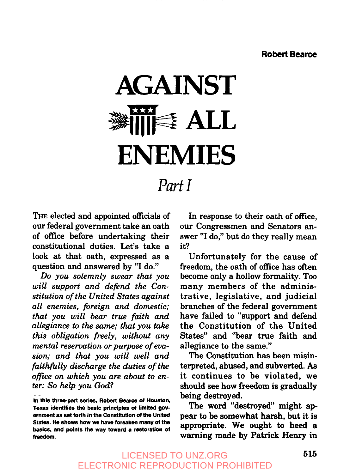## **AGAINST 11111 ALL I\*\*\*l ENEMIES**

### *Part I*

THE elected and appointed officials of our federal government take an oath of office before undertaking their constitutional duties. Let's take a look at that oath, expressed as a question and answered by "I do."

Do you solemnly swear that you *will support and defend the Constitution of the United States against all enemies, foreign and domestic; that you will bear true faith and allegiance to the same; that you take this obligation freely, without any mental reservation or purpose of evasion; and that you will well and faithfully discharge the duties of the office on which you are about to enter: So help you God?*

In response to their oath of office, our Congressmen and Senators answer "I do," but do they really mean it?

Unfortunately for the cause of freedom, the oath of office has often become only a hollow formality. Too many members of the administrative, legislative, and judicial branches of the federal government have failed to "support and defend the Constitution of the United States" and "bear true faith and allegiance to the same."

The Constitution has been misinterpreted, abused, and subverted. As it continues to be violated, we should see how freedom is gradually being destroyed.

The word "destroyed" might appear to be somewhat harsh, but it is appropriate. We ought to heed a warning made by Patrick Henry in

In this three-part series, Robert Bearce of Houston, Texas identifies the basic principles of limited government as set forth in the Constitution of the United States. He shows how we have forsaken many of **the** basics, and points the way toward a restoration of freedom.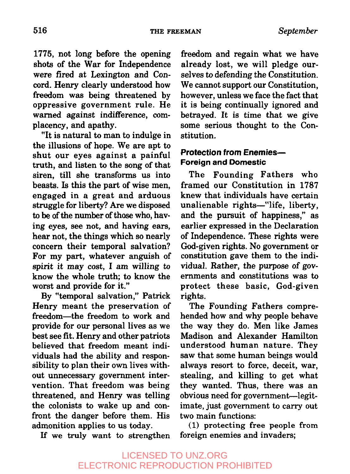1775, not long before the opening shots of the War for Independence were fired at Lexington and Concord. Henry clearly understood how freedom was being threatened by oppressive government rule. He warned against indifference, complacency, and apathy.

"It is natural to man to indulge in the illusions of hope. We are apt to shut our eyes against a painful truth, and listen to the song of that siren, till she transforms us into beasts. Is this the part of wise men, engaged in a great and arduous struggle for liberty? Are we disposed to be of the number of those who, having eyes, see not, and having ears, hear not, the things which so nearly concern their temporal salvation? For my part, whatever anguish of spirit it may cost, I am willing to know the whole truth; to know the worst and provide for it."

By "temporal salvation," Patrick Henry meant the preservation of freedom--the freedom to work and provide for our personal lives as we best see fit. Henry and other patriots believed that freedom meant individuals had the ability and responsibility to plan their own lives without unnecessary government intervention. That freedom was being threatened, and Henry was telling the colonists to wake up and confront the danger before them. His admonition applies to us today.

If we truly want to strengthen

freedom and regain what we have already lost, we will pledge ourselves to defending the Constitution. We cannot support our Constitution, however, unless we face the fact that it is being continually ignored and betrayed. It is time that we give some serious thought to the Constitution.

#### **Protection from Enemies--Foreign and Domestic**

The Founding Fathers who framed our Constitution in 1787 knew that individuals have certain unalienable rights-"life, liberty, and the pursuit of happiness," as earlier expressed in the Declaration of Independence. These rights were God-given rights. No government or constitution gave them to the individual. Rather, the purpose of governments and constitutions was to protect these basic, God-given rights.

The Founding Fathers comprehended how and why people behave the way they do. Men like James Madison and Alexander Hamilton understood human nature. They saw that some human beings would always resort to force, deceit, war, stealing, and killing to get what they wanted. Thus, there was an obvious need for government-legitimate, just government to carry out two main functions:

(1) protecting free people from foreign enemies and invaders;

#### LICENSED TO UNZ.ORG ELECTRONIC REPRODUCTION PROHIBITED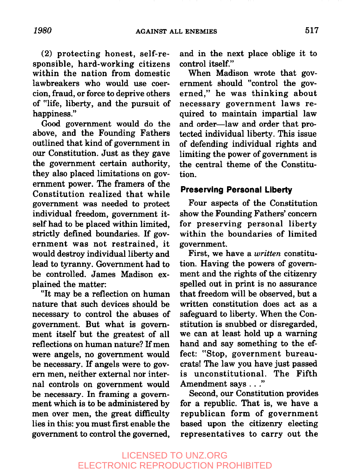**(2)** protecting honest, self-responsible, hard-working citizens within the nation from domestic lawbreakers who would use coercion, fraud, or force to deprive others of "life, liberty, and the pursuit of happiness."

Good government would do the above, and the Founding Fathers outlined that kind of government in our Constitution. Just as they gave the government certain authority, they also placed limitations on government power. The framers of the Constitution realized that while government was needed to protect individual freedom, government itself had to be placed within limited, strictly defined boundaries. If government was not restrained, it would destroy individual liberty and lead to tyranny. Government had to be controlled. James Madison explained the matter:

"It may be a reflection on human nature that such devices should be necessary to control the abuses of government. But what is government itself but the greatest of all reflections on human nature? If men were angels, no government would be necessary. If angels were to govern men, neither external nor internal controls on government would be necessary. In framing a government which is to be administered by men over men, the great difficulty lies in this: you must first enable the government to control the governed,

and in the next place oblige it to control itself."

When Madison wrote that government should "control the governed," he was thinking about necessary government laws required to maintain impartial law and order-law and order that protected individual liberty. This issue of defending individual rights and limiting the power of government is the central theme of the Constitution.

#### **Preserving Personal Liberty**

Four aspects of the Constitution show the Founding Fathers' concern for preserving personal liberty within the boundaries of limited government.

First, we have a *written* constitution. Having the powers of government and the rights of the citizenry spelled out in print is no assurance that freedom will be observed, but a written constitution does act as a safeguard to liberty. When the Constitution is snubbed or disregarded, we can at least hold up a warning hand and say something to the effect: "Stop, government bureaucrats! The law you have just passed is unconstitutional. The Fifth Amendment says . . ."

Second, our Constitution provides for a republic. That is, we have a republican form of government based upon the citizenry electing representatives to carry out the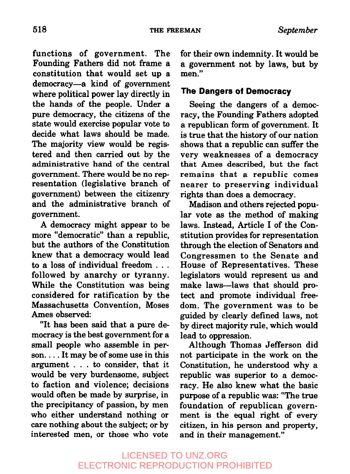functions of government. The Founding Fathers did not frame a constitution that would set up a democracy--a kind of government where political power lay directly in the hands of the people. Under a pure democracy, the citizens of the state would exercise popular vote to decide what laws should be made. The majority view would be registered and then carried out by the administrative hand of the central government. There would be no representation (legislative branch of government) between the citizenry and the administrative branch of government.

A democracy might appear to be more "democratic" than a republic, but the authors of the Constitution knew that a democracy would lead to a loss of individual freedom . . . followed by anarchy or tyranny. While the Constitution was being considered for ratification by the Massachusetts Convention, Moses Ames observed:

"It has been said that a pure democracy is the best government for a small people who assemble in person....It may be of some use in this argument . . . to consider, that it would be very burdensome, subject to faction and violence; decisions would often be made by surprise, in the precipitancy of passion, by men who either understand nothing or care nothing about the subject; or by interested men, or those who vote

for their own indemnity. It would be a government not by laws, but by men."

#### **The Dangers of Democracy**

Seeing the dangers of a democracy, the Founding Fathers adopted a republican form of government. It is true that the history of our nation shows that a republic can suffer the very weaknesses of a democracy that Ames described, but the fact remains that a republic comes nearer to preserving individual rights than does a democracy.

Madison and others rejected popular vote as the method of making laws. Instead, Article I of the Constitution provides for representation through the election of Senators and Congressmen to the Senate and House of Representatives. These legislators would represent us and make laws--laws that should protect and promote individual freedom. The government was to be guided by clearly defined laws, not by direct majority rule, which would lead to oppression.

Although Thomas Jefferson did not participate in the work on the Constitution, he understood why a republic was superior to a democracy. He also knew what the basic purpose of a republic was: "The true foundation of republican government is the equal right of every citizen, in his person and property, and in their management."

#### LICENSED TO UNZ.ORG ELECTRONIC REPRODUCTION PROHIBITED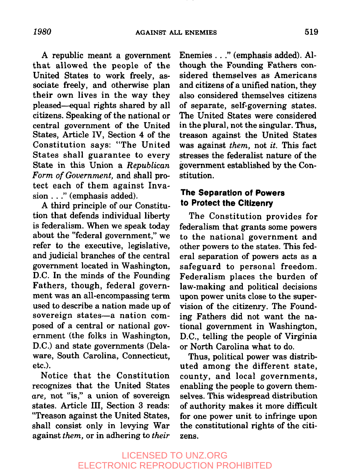A republic meant a government that allowed the people of the United States to work freely, associate freely, and otherwise plan their own lives in the way they pleased-equal rights shared by all citizens. Speaking of the national or central government of the United States, Article IV, Section 4 of the Constitution says: "The United States shall guarantee to every State in this Union a *Republican Form of Government,* and shall protect each of them against Invasion..." (emphasis added).

A third principle of our Constitution that defends individual liberty is federalism. When we speak today about the "federal government," we refer to the executive, legislative, and judicial branches of the central government located in Washington, D.C. In the minds of the Founding Fathers, though, federal government was an all-encompassing term used to describe a nation made up of sovereign states-a nation composed of a central or national government (the folks in Washington, D.C.) and state governments (Delaware, South Carolina, Connecticut, etc.).

Notice that the Constitution recognizes that the United States *are,* not "is," a union of sovereign states. Article III, Section 3 reads: '~Treason against the United States, shall consist only in levying War against *them,* or in adhering to *their* Enemies..." (emphasis added). Although the Founding Fathers considered themselves as Americans and citizens of a unified nation, they also considered themselves citizens of separate, self-governing states. The United States were considered in the plural, not the singular. Thus, treason against the United States was against *them,* not *it.* This fact stresses the federalist nature of the government established by the Constitution.

#### **The Separation of Powers to Protect the Citizenry**

The Constitution provides for federalism that grants some powers to the national government and other powers to the states. This federal separation of powers acts as a safeguard to personal freedom. Federalism places the burden of law-making and political decisions upon power units close to the supervision of the citizenry. The Founding Fathers did not want the national government in Washington, D.C., telling the people of Virginia or North Carolina what to do.

Thus, political power was distributed among the different state, county, and local governments, enabling the people to govern themselves. This widespread distribution of authority makes it more difficult for one power unit to infringe upon the constitutional rights of the citizens.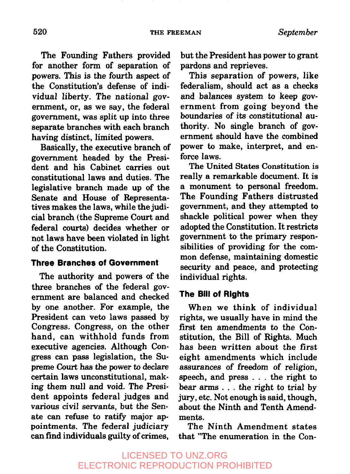The Founding Fathers provided for another form of separation of powers. This is the fourth aspect of the Constitution's defense of individual liberty. The national government, or, as we say, the federal government, was split up into three separate branches with each branch having distinct, limited powers.

Basically, the executive branch of government headed by the President and his Cabinet carries out constitutional laws and duties. The legislative branch made up of the Senate and House of Representatives makes the laws, while the judicial branch (the Supreme Court and federal courts) decides whether or not laws have been violated in light of the Constitution.

#### **Three Branches of Government**

The authority and powers of the three branches of the federal government are balanced and checked by one another. For example, the President can veto laws passed by Congress. Congress, on the other hand, can withhold funds from executive agencies. Although Congress can pass legislation, the Supreme Court has the power to declare certain laws unconstitutional, making them null and void. The President appoints federal judges and various civil servants, but the Senate can refuse to ratify major appointments. The federal judiciary can find individuals guilty of crimes,

but the President has power to grant pardons and reprieves.

This separation of powers, like federalism, should act as a checks and balances system to keep government from going beyond the boundaries of its constitutional authority. No single branch of government should have the combined power to make, interpret, and enforce laws.

The United States Constitution is really a remarkable document. It is a monument to personal freedom. The Founding Fathers distrusted government, and they attempted to shackle political power when they adopted the Constitution. It restricts government to the primary responsibilities of providing for the common defense, maintaining domestic security and peace, and protecting individual rights.

#### **The Bill of Rights**

When we think of individual rights, we usually have in mind the first ten amendments to the Constitution, the Bill of Rights. Much has been written about the first eight amendments which include assurances of freedom of religion, speech, and press . . . the right to bear arms  $\dots$  the right to trial by jury, etc. Not enough is said, though, about the Ninth and Tenth Amendments.

The Ninth Amendment states that "The enumeration in the Con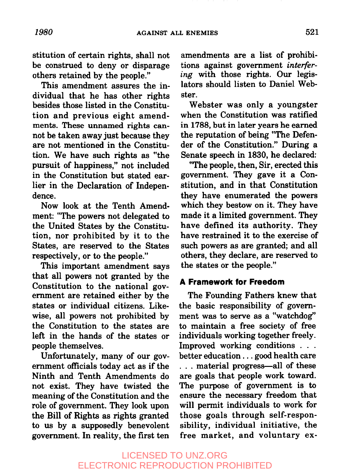stitution of certain rights, shall not be construed to deny or disparage others retained by the people."

This amendment assures the individual that he has other rights besides those listed in the Constitution and previous eight amendments. These unnamed rights cannot be taken away just because they are not mentioned in the Constitution. We have such rights as "the pursuit of happiness," not included in the Constitution but stated earlier in the Declaration of Independence.

Now look at the Tenth Amendment: "The powers not delegated to the United States by the Constitution, nor prohibited by it to the States, are reserved to the States respectively, or to the people."

This important amendment says that all powers not granted by the Constitution to the national government are retained either by the states or individual citizens. Likewise, all powers not prohibited by the Constitution to the states are left in the hands of the states or people themselves.

Unfortunately, many of our government officials today act as if the Ninth and Tenth Amendments do not exist. They have twisted the meaning of the Constitution and the role of government. They look upon the Bill of Rights as rights granted to us by a supposedly benevolent government. In reality, the first ten amendments are a list of prohibitions against government *interfering* with those rights. Our legislators should listen to Daniel Webster.

Webster was only a youngster when the Constitution was ratified in 1788, but in later years he earned the reputation of being "The Defender of the Constitution." During a Senate speech in 1830, he declared:

"The people, then, Sir, erected this government. They gave it a Constitution, and in that Constitution they have enumerated the powers which they bestow on it. They have made it a limited government. They have defined its authority. They have restrained it to the exercise of such powers as are granted; and all others, they declare, are reserved to the states or the people."

#### **A Framework for Freedom**

The Founding Fathers knew that the basic responsibility of government was to serve as a "watchdog" to maintain a free society of free individuals working together freely. Improved working conditions . . . better education.., good health care ... material progress-all of these are goals that people work toward. The purpose of government is to ensure the necessary freedom that will permit individuals to work for those goals through self-responsibility, individual initiative, the free market, and voluntary ex-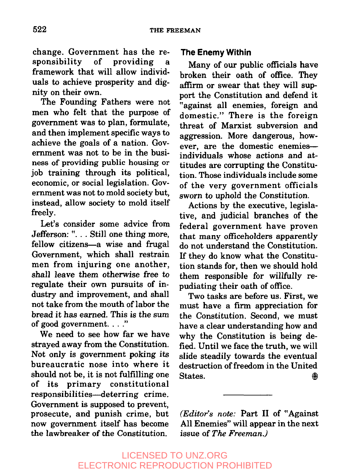change. Government has the responsibility of providing a framework that will allow individuals to achieve prosperity and dignity on their own.

The Founding Fathers were not men who felt that the purpose of government was to plan, formulate, and then implement specific ways to achieve the goals of a nation. Government was not to be in the business of providing public housing or job training through its political, economic, or social legislation. Government was not to mold society but, instead, allow society to mold itself freely.

Let's consider some advice from Jefferson: "... Still one thing more, fellow citizens-a wise and frugal Government, which shall restrain men from injuring one another, shall leave them otherwise free to regulate their own pursuits of industry and improvement, and shall not take from the mouth of labor the bread it has earned. This is the sum of good government.  $\ldots$  "

We need to see how far we have strayed away from the Constitution. Not only is government poking its bureaucratic nose into where it should not be, it is not fulfilling one of its primary constitutional responsibilities-deterring crime. Government is supposed to prevent, prosecute, and punish crime, but now government itself has become the lawbreaker of the Constitution.

#### **The Enemy Within**

Many of our public officials have broken their oath of office. They affirm or swear that they will support the Constitution and defend it "against all enemies, foreign and domestic." There is the foreign threat of Marxist subversion and aggression. More dangerous, however, are the domestic enemiesindividuals whose actions and attitudes are corrupting the Constitution. Those individuals include some of the very government officials sworn to uphold the Constitution.

Actions by the executive, legislative, and judicial branches of the federal government have proven that many officeholders apparently do not understand the Constitution. If they do know what the Constitution stands for, then we should hold them responsible for willfully repudiating their oath of office.

Two tasks are before us. First, we must have a firm appreciation for the Constitution. Second, we must have a clear understanding how and why the Constitution is being defied. Until we face the truth, we will slide steadily towards the eventual destruction of freedom in the United States.  $\qquad \qquad \circledast$ 

*(Editor's note:* Part II of "Against All Enemies" will appear in the next issue of *The Freeman.)*